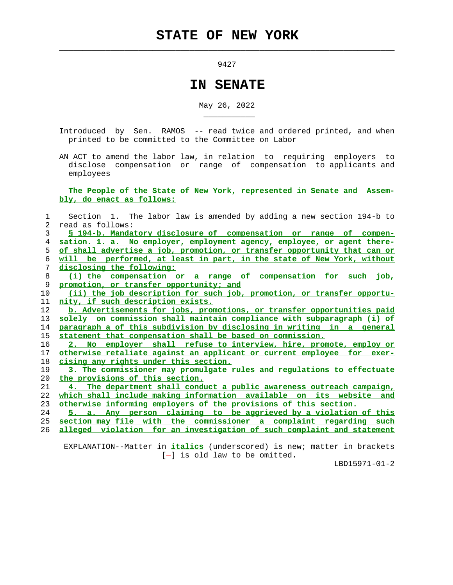9427

 $\mathcal{L}_\text{max} = \frac{1}{2} \sum_{i=1}^{n} \frac{1}{2} \sum_{i=1}^{n} \frac{1}{2} \sum_{i=1}^{n} \frac{1}{2} \sum_{i=1}^{n} \frac{1}{2} \sum_{i=1}^{n} \frac{1}{2} \sum_{i=1}^{n} \frac{1}{2} \sum_{i=1}^{n} \frac{1}{2} \sum_{i=1}^{n} \frac{1}{2} \sum_{i=1}^{n} \frac{1}{2} \sum_{i=1}^{n} \frac{1}{2} \sum_{i=1}^{n} \frac{1}{2} \sum_{i=1}^{n} \frac{1$ 

\_\_\_\_\_\_\_\_\_\_\_

## **IN SENATE**

May 26, 2022

- Introduced by Sen. RAMOS -- read twice and ordered printed, and when printed to be committed to the Committee on Labor
- AN ACT to amend the labor law, in relation to requiring employers to disclose compensation or range of compensation to applicants and employees

 **The People of the State of New York, represented in Senate and Assem bly, do enact as follows:**

 1 Section 1. The labor law is amended by adding a new section 194-b to 2 read as follows: 3 **§ 194-b. Mandatory disclosure of compensation or range of compen-**

**sation. 1. a. No employer, employment agency, employee, or agent there- of shall advertise a job, promotion, or transfer opportunity that can or will be performed, at least in part, in the state of New York, without disclosing the following:**

 8 **(i) the compensation or a range of compensation for such job,** 9 **promotion, or transfer opportunity; and**

 10 **(ii) the job description for such job, promotion, or transfer opportu-** 11 **nity, if such description exists.**

**b. Advertisements for jobs, promotions, or transfer opportunities paid solely on commission shall maintain compliance with subparagraph (i) of paragraph a of this subdivision by disclosing in writing in a general statement that compensation shall be based on commission.**

 16 **2. No employer shall refuse to interview, hire, promote, employ or** 17 **otherwise retaliate against an applicant or current employee for exer-** 18 **cising any rights under this section.**

 19 **3. The commissioner may promulgate rules and regulations to effectuate** 20 **the provisions of this section.**

 21 **4. The department shall conduct a public awareness outreach campaign,** 22 **which shall include making information available on its website and** 23 **otherwise informing employers of the provisions of this section.**

 24 **5. a. Any person claiming to be aggrieved by a violation of this** 25 **section may file with the commissioner a complaint regarding such** 26 **alleged violation for an investigation of such complaint and statement**

 EXPLANATION--Matter in **italics** (underscored) is new; matter in brackets  $[-]$  is old law to be omitted.

LBD15971-01-2